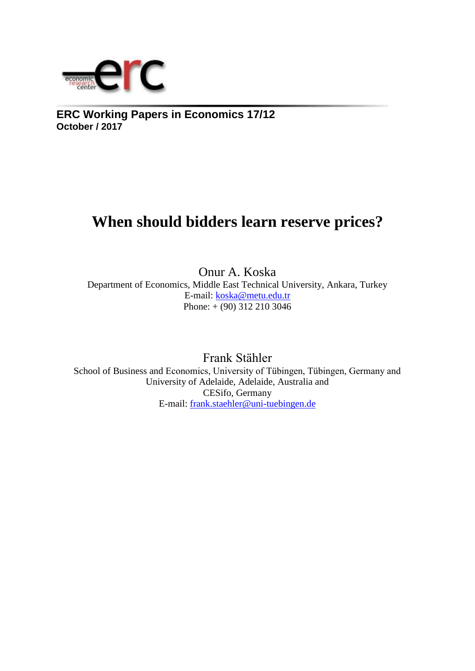

**ERC Working Papers in Economics 17/12 October / 2017**

# **When should bidders learn reserve prices?**

Onur A. Koska Department of Economics, Middle East Technical University, Ankara, Turkey E-mail: [koska@metu.edu.tr](mailto:koska@metu.edu.tr)  Phone: + (90) 312 210 3046

Frank Stähler School of Business and Economics, University of Tübingen, Tübingen, Germany and University of Adelaide, Adelaide, Australia and CESifo, Germany E-mail: [frank.staehler@uni-tuebingen.de](mailto:frank.staehler@uni-tuebingen.de)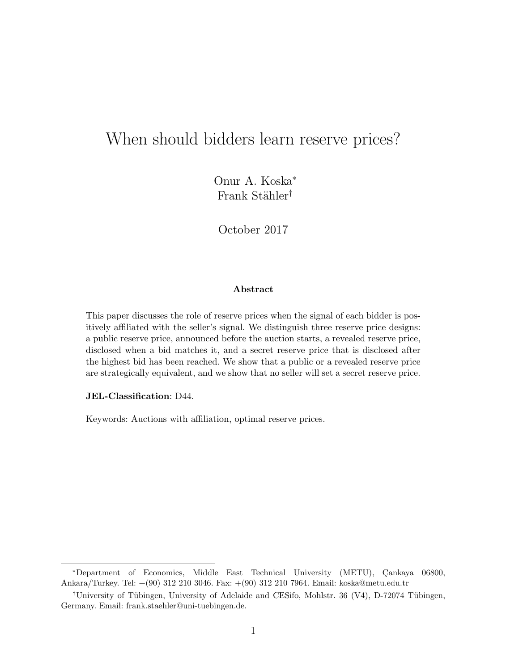## <span id="page-1-0"></span>When should bidders learn reserve prices?

Onur A. Koska<sup>∗</sup> Frank Stähler<sup>†</sup>

October 2017

#### Abstract

This paper discusses the role of reserve prices when the signal of each bidder is positively affiliated with the seller's signal. We distinguish three reserve price designs: a public reserve price, announced before the auction starts, a revealed reserve price, disclosed when a bid matches it, and a secret reserve price that is disclosed after the highest bid has been reached. We show that a public or a revealed reserve price are strategically equivalent, and we show that no seller will set a secret reserve price.

#### JEL-Classification: D44.

Keywords: Auctions with affiliation, optimal reserve prices.

<sup>\*</sup>Department of Economics, Middle East Technical University (METU), Çankaya 06800, Ankara/Turkey. Tel: +(90) 312 210 3046. Fax: +(90) 312 210 7964. Email: koska@metu.edu.tr

<sup>&</sup>lt;sup>†</sup>University of Tübingen, University of Adelaide and CESifo, Mohlstr. 36 (V4), D-72074 Tübingen, Germany. Email: frank.staehler@uni-tuebingen.de.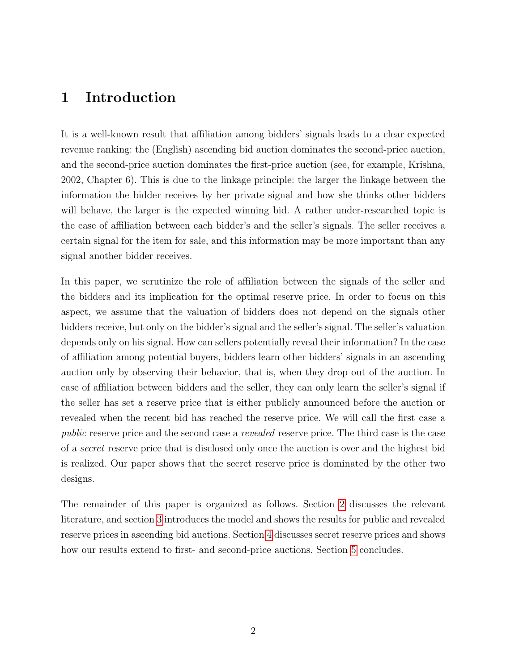### 1 Introduction

It is a well-known result that affiliation among bidders' signals leads to a clear expected revenue ranking: the (English) ascending bid auction dominates the second-price auction, and the second-price auction dominates the first-price auction (see, for example, Krishna, 2002, Chapter 6). This is due to the linkage principle: the larger the linkage between the information the bidder receives by her private signal and how she thinks other bidders will behave, the larger is the expected winning bid. A rather under-researched topic is the case of affiliation between each bidder's and the seller's signals. The seller receives a certain signal for the item for sale, and this information may be more important than any signal another bidder receives.

In this paper, we scrutinize the role of affiliation between the signals of the seller and the bidders and its implication for the optimal reserve price. In order to focus on this aspect, we assume that the valuation of bidders does not depend on the signals other bidders receive, but only on the bidder's signal and the seller's signal. The seller's valuation depends only on his signal. How can sellers potentially reveal their information? In the case of affiliation among potential buyers, bidders learn other bidders' signals in an ascending auction only by observing their behavior, that is, when they drop out of the auction. In case of affiliation between bidders and the seller, they can only learn the seller's signal if the seller has set a reserve price that is either publicly announced before the auction or revealed when the recent bid has reached the reserve price. We will call the first case a public reserve price and the second case a revealed reserve price. The third case is the case of a secret reserve price that is disclosed only once the auction is over and the highest bid is realized. Our paper shows that the secret reserve price is dominated by the other two designs.

The remainder of this paper is organized as follows. Section [2](#page-3-0) discusses the relevant literature, and section [3](#page-5-0) introduces the model and shows the results for public and revealed reserve prices in ascending bid auctions. Section [4](#page-9-0) discusses secret reserve prices and shows how our results extend to first- and second-price auctions. Section [5](#page-11-0) concludes.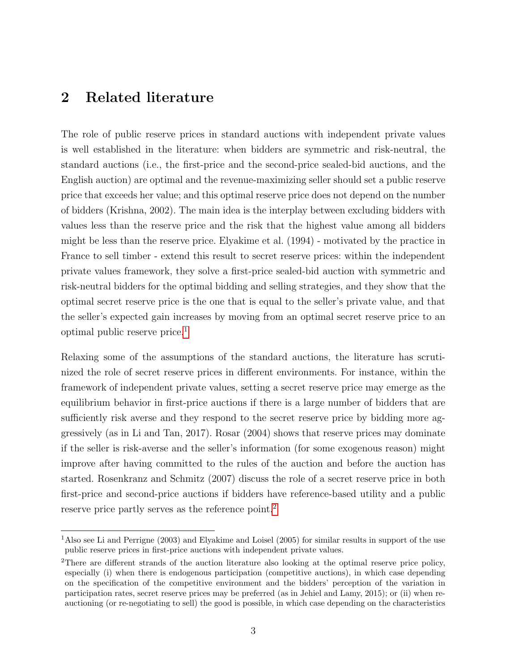### <span id="page-3-0"></span>2 Related literature

The role of public reserve prices in standard auctions with independent private values is well established in the literature: when bidders are symmetric and risk-neutral, the standard auctions (i.e., the first-price and the second-price sealed-bid auctions, and the English auction) are optimal and the revenue-maximizing seller should set a public reserve price that exceeds her value; and this optimal reserve price does not depend on the number of bidders (Krishna, 2002). The main idea is the interplay between excluding bidders with values less than the reserve price and the risk that the highest value among all bidders might be less than the reserve price. Elyakime et al. (1994) - motivated by the practice in France to sell timber - extend this result to secret reserve prices: within the independent private values framework, they solve a first-price sealed-bid auction with symmetric and risk-neutral bidders for the optimal bidding and selling strategies, and they show that the optimal secret reserve price is the one that is equal to the seller's private value, and that the seller's expected gain increases by moving from an optimal secret reserve price to an optimal public reserve price.[1](#page-1-0)

Relaxing some of the assumptions of the standard auctions, the literature has scrutinized the role of secret reserve prices in different environments. For instance, within the framework of independent private values, setting a secret reserve price may emerge as the equilibrium behavior in first-price auctions if there is a large number of bidders that are sufficiently risk averse and they respond to the secret reserve price by bidding more aggressively (as in Li and Tan, 2017). Rosar (2004) shows that reserve prices may dominate if the seller is risk-averse and the seller's information (for some exogenous reason) might improve after having committed to the rules of the auction and before the auction has started. Rosenkranz and Schmitz (2007) discuss the role of a secret reserve price in both first-price and second-price auctions if bidders have reference-based utility and a public reserve price partly serves as the reference point.<sup>[2](#page-1-0)</sup>

<sup>1</sup>Also see Li and Perrigne (2003) and Elyakime and Loisel (2005) for similar results in support of the use public reserve prices in first-price auctions with independent private values.

<sup>&</sup>lt;sup>2</sup>There are different strands of the auction literature also looking at the optimal reserve price policy, especially (i) when there is endogenous participation (competitive auctions), in which case depending on the specification of the competitive environment and the bidders' perception of the variation in participation rates, secret reserve prices may be preferred (as in Jehiel and Lamy, 2015); or (ii) when reauctioning (or re-negotiating to sell) the good is possible, in which case depending on the characteristics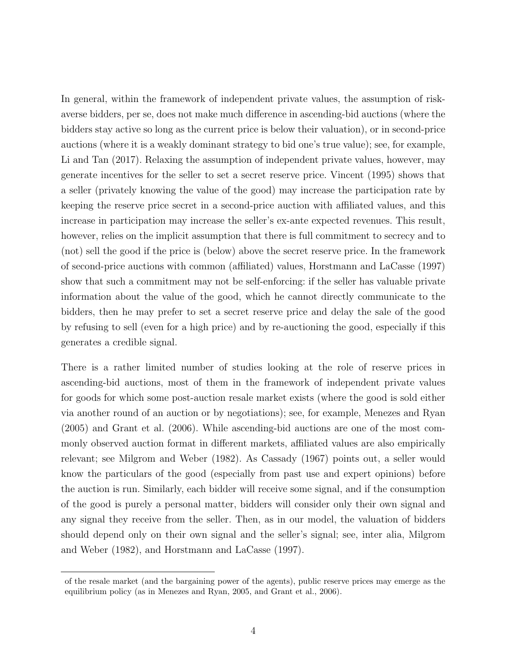In general, within the framework of independent private values, the assumption of riskaverse bidders, per se, does not make much difference in ascending-bid auctions (where the bidders stay active so long as the current price is below their valuation), or in second-price auctions (where it is a weakly dominant strategy to bid one's true value); see, for example, Li and Tan (2017). Relaxing the assumption of independent private values, however, may generate incentives for the seller to set a secret reserve price. Vincent (1995) shows that a seller (privately knowing the value of the good) may increase the participation rate by keeping the reserve price secret in a second-price auction with affiliated values, and this increase in participation may increase the seller's ex-ante expected revenues. This result, however, relies on the implicit assumption that there is full commitment to secrecy and to (not) sell the good if the price is (below) above the secret reserve price. In the framework of second-price auctions with common (affiliated) values, Horstmann and LaCasse (1997) show that such a commitment may not be self-enforcing: if the seller has valuable private information about the value of the good, which he cannot directly communicate to the bidders, then he may prefer to set a secret reserve price and delay the sale of the good by refusing to sell (even for a high price) and by re-auctioning the good, especially if this generates a credible signal.

There is a rather limited number of studies looking at the role of reserve prices in ascending-bid auctions, most of them in the framework of independent private values for goods for which some post-auction resale market exists (where the good is sold either via another round of an auction or by negotiations); see, for example, Menezes and Ryan (2005) and Grant et al. (2006). While ascending-bid auctions are one of the most commonly observed auction format in different markets, affiliated values are also empirically relevant; see Milgrom and Weber (1982). As Cassady (1967) points out, a seller would know the particulars of the good (especially from past use and expert opinions) before the auction is run. Similarly, each bidder will receive some signal, and if the consumption of the good is purely a personal matter, bidders will consider only their own signal and any signal they receive from the seller. Then, as in our model, the valuation of bidders should depend only on their own signal and the seller's signal; see, inter alia, Milgrom and Weber (1982), and Horstmann and LaCasse (1997).

of the resale market (and the bargaining power of the agents), public reserve prices may emerge as the equilibrium policy (as in Menezes and Ryan, 2005, and Grant et al., 2006).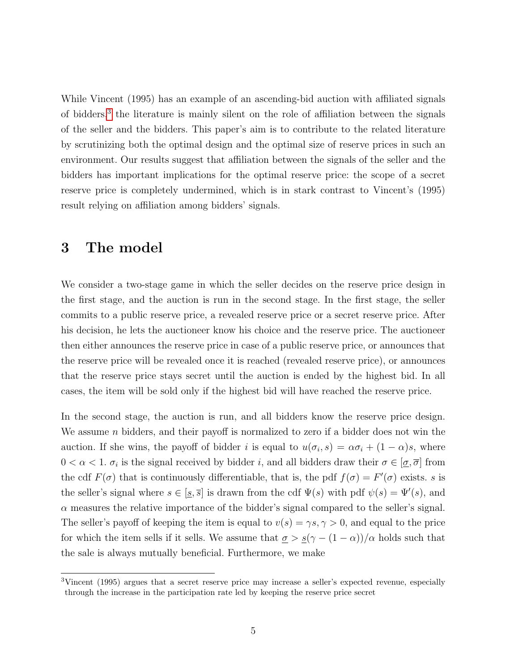While Vincent (1995) has an example of an ascending-bid auction with affiliated signals of bidders,<sup>[3](#page-1-0)</sup> the literature is mainly silent on the role of affiliation between the signals of the seller and the bidders. This paper's aim is to contribute to the related literature by scrutinizing both the optimal design and the optimal size of reserve prices in such an environment. Our results suggest that affiliation between the signals of the seller and the bidders has important implications for the optimal reserve price: the scope of a secret reserve price is completely undermined, which is in stark contrast to Vincent's (1995) result relying on affiliation among bidders' signals.

### <span id="page-5-0"></span>3 The model

We consider a two-stage game in which the seller decides on the reserve price design in the first stage, and the auction is run in the second stage. In the first stage, the seller commits to a public reserve price, a revealed reserve price or a secret reserve price. After his decision, he lets the auctioneer know his choice and the reserve price. The auctioneer then either announces the reserve price in case of a public reserve price, or announces that the reserve price will be revealed once it is reached (revealed reserve price), or announces that the reserve price stays secret until the auction is ended by the highest bid. In all cases, the item will be sold only if the highest bid will have reached the reserve price.

In the second stage, the auction is run, and all bidders know the reserve price design. We assume n bidders, and their payoff is normalized to zero if a bidder does not win the auction. If she wins, the payoff of bidder i is equal to  $u(\sigma_i, s) = \alpha \sigma_i + (1 - \alpha)s$ , where  $0 < \alpha < 1$ .  $\sigma_i$  is the signal received by bidder i, and all bidders draw their  $\sigma \in [\sigma, \overline{\sigma}]$  from the cdf  $F(\sigma)$  that is continuously differentiable, that is, the pdf  $f(\sigma) = F'(\sigma)$  exists. s is the seller's signal where  $s \in [\underline{s}, \overline{s}]$  is drawn from the cdf  $\Psi(s)$  with pdf  $\psi(s) = \Psi'(s)$ , and  $\alpha$  measures the relative importance of the bidder's signal compared to the seller's signal. The seller's payoff of keeping the item is equal to  $v(s) = \gamma s, \gamma > 0$ , and equal to the price for which the item sells if it sells. We assume that  $\sigma > \frac{s(\gamma - (1 - \alpha))/\alpha}{\alpha}$  holds such that the sale is always mutually beneficial. Furthermore, we make

<sup>3</sup>Vincent (1995) argues that a secret reserve price may increase a seller's expected revenue, especially through the increase in the participation rate led by keeping the reserve price secret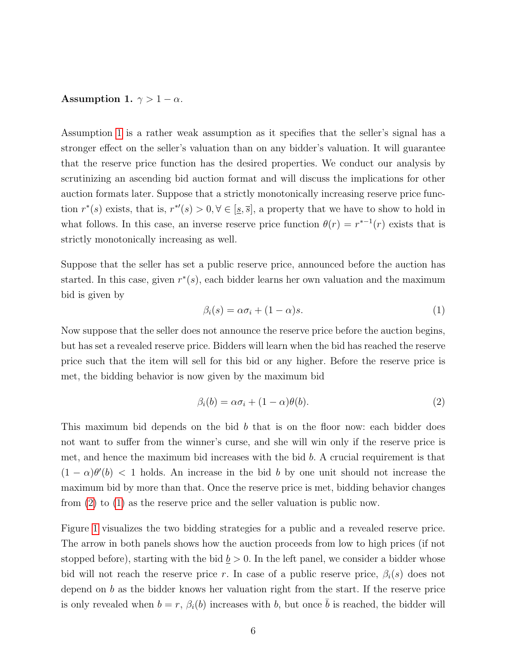#### <span id="page-6-0"></span>Assumption 1.  $\gamma > 1 - \alpha$ .

Assumption [1](#page-6-0) is a rather weak assumption as it specifies that the seller's signal has a stronger effect on the seller's valuation than on any bidder's valuation. It will guarantee that the reserve price function has the desired properties. We conduct our analysis by scrutinizing an ascending bid auction format and will discuss the implications for other auction formats later. Suppose that a strictly monotonically increasing reserve price function  $r^*(s)$  exists, that is,  $r^{*'}(s) > 0, \forall \in [\underline{s}, \overline{s}]$ , a property that we have to show to hold in what follows. In this case, an inverse reserve price function  $\theta(r) = r^{*-1}(r)$  exists that is strictly monotonically increasing as well.

Suppose that the seller has set a public reserve price, announced before the auction has started. In this case, given  $r^*(s)$ , each bidder learns her own valuation and the maximum bid is given by

<span id="page-6-2"></span>
$$
\beta_i(s) = \alpha \sigma_i + (1 - \alpha)s. \tag{1}
$$

Now suppose that the seller does not announce the reserve price before the auction begins, but has set a revealed reserve price. Bidders will learn when the bid has reached the reserve price such that the item will sell for this bid or any higher. Before the reserve price is met, the bidding behavior is now given by the maximum bid

<span id="page-6-1"></span>
$$
\beta_i(b) = \alpha \sigma_i + (1 - \alpha)\theta(b). \tag{2}
$$

This maximum bid depends on the bid b that is on the floor now: each bidder does not want to suffer from the winner's curse, and she will win only if the reserve price is met, and hence the maximum bid increases with the bid  $b$ . A crucial requirement is that  $(1 - \alpha)\theta'(b)$  < 1 holds. An increase in the bid b by one unit should not increase the maximum bid by more than that. Once the reserve price is met, bidding behavior changes from [\(2\)](#page-6-1) to [\(1\)](#page-6-2) as the reserve price and the seller valuation is public now.

Figure [1](#page-7-0) visualizes the two bidding strategies for a public and a revealed reserve price. The arrow in both panels shows how the auction proceeds from low to high prices (if not stopped before), starting with the bid  $\underline{b} > 0$ . In the left panel, we consider a bidder whose bid will not reach the reserve price r. In case of a public reserve price,  $\beta_i(s)$  does not depend on b as the bidder knows her valuation right from the start. If the reserve price is only revealed when  $b = r$ ,  $\beta_i(b)$  increases with b, but once  $\bar{b}$  is reached, the bidder will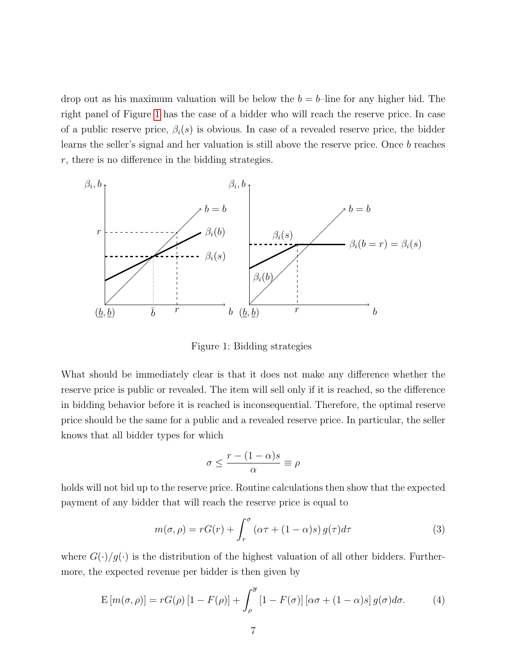drop out as his maximum valuation will be below the  $b = b$ –line for any higher bid. The right panel of Figure [1](#page-7-0) has the case of a bidder who will reach the reserve price. In case of a public reserve price,  $\beta_i(s)$  is obvious. In case of a revealed reserve price, the bidder learns the seller's signal and her valuation is still above the reserve price. Once b reaches  $r$ , there is no difference in the bidding strategies.

<span id="page-7-0"></span>

Figure 1: Bidding strategies

What should be immediately clear is that it does not make any difference whether the reserve price is public or revealed. The item will sell only if it is reached, so the difference in bidding behavior before it is reached is inconsequential. Therefore, the optimal reserve price should be the same for a public and a revealed reserve price. In particular, the seller knows that all bidder types for which

$$
\sigma \le \frac{r - (1 - \alpha)s}{\alpha} \equiv \rho
$$

holds will not bid up to the reserve price. Routine calculations then show that the expected payment of any bidder that will reach the reserve price is equal to

<span id="page-7-1"></span>
$$
m(\sigma, \rho) = rG(r) + \int_r^{\sigma} (\alpha \tau + (1 - \alpha)s) g(\tau) d\tau
$$
 (3)

where  $G(\cdot)/g(\cdot)$  is the distribution of the highest valuation of all other bidders. Furthermore, the expected revenue per bidder is then given by

<span id="page-7-2"></span>
$$
E\left[m(\sigma,\rho)\right] = rG(\rho)\left[1 - F(\rho)\right] + \int_{\rho}^{\overline{\sigma}} \left[1 - F(\sigma)\right]\left[\alpha\sigma + (1-\alpha)s\right]g(\sigma)d\sigma.
$$
 (4)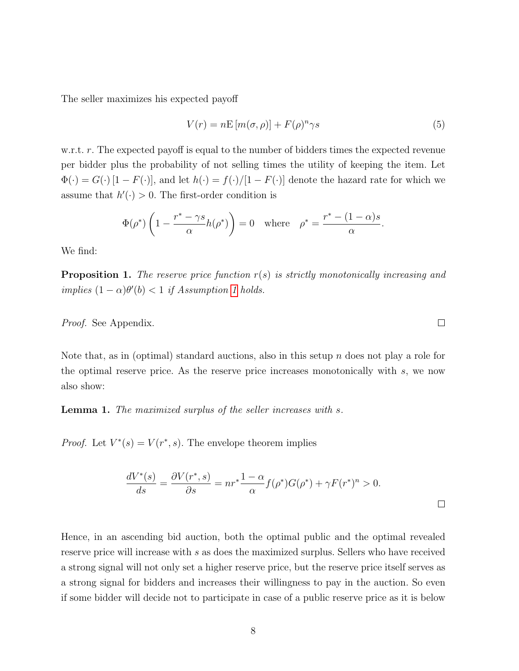The seller maximizes his expected payoff

<span id="page-8-0"></span>
$$
V(r) = nE\left[m(\sigma,\rho)\right] + F(\rho)^n \gamma s \tag{5}
$$

w.r.t.  $r$ . The expected payoff is equal to the number of bidders times the expected revenue per bidder plus the probability of not selling times the utility of keeping the item. Let  $\Phi(\cdot) = G(\cdot) [1 - F(\cdot)],$  and let  $h(\cdot) = f(\cdot) / [1 - F(\cdot)]$  denote the hazard rate for which we assume that  $h'(\cdot) > 0$ . The first-order condition is

$$
\Phi(\rho^*)\left(1 - \frac{r^* - \gamma s}{\alpha}h(\rho^*)\right) = 0 \quad \text{where} \quad \rho^* = \frac{r^* - (1 - \alpha)s}{\alpha}.
$$

We find:

<span id="page-8-2"></span>**Proposition 1.** The reserve price function  $r(s)$  is strictly monotonically increasing and implies  $(1 - \alpha)\theta'(b) < 1$  $(1 - \alpha)\theta'(b) < 1$  if Assumption 1 holds.

Proof. See Appendix.

Note that, as in (optimal) standard auctions, also in this setup n does not play a role for the optimal reserve price. As the reserve price increases monotonically with s, we now also show:

<span id="page-8-1"></span>Lemma 1. The maximized surplus of the seller increases with s.

*Proof.* Let  $V^*(s) = V(r^*, s)$ . The envelope theorem implies

$$
\frac{dV^*(s)}{ds} = \frac{\partial V(r^*, s)}{\partial s} = nr^* \frac{1-\alpha}{\alpha} f(\rho^*) G(\rho^*) + \gamma F(r^*)^n > 0.
$$

Hence, in an ascending bid auction, both the optimal public and the optimal revealed reserve price will increase with s as does the maximized surplus. Sellers who have received a strong signal will not only set a higher reserve price, but the reserve price itself serves as a strong signal for bidders and increases their willingness to pay in the auction. So even if some bidder will decide not to participate in case of a public reserve price as it is below

 $\Box$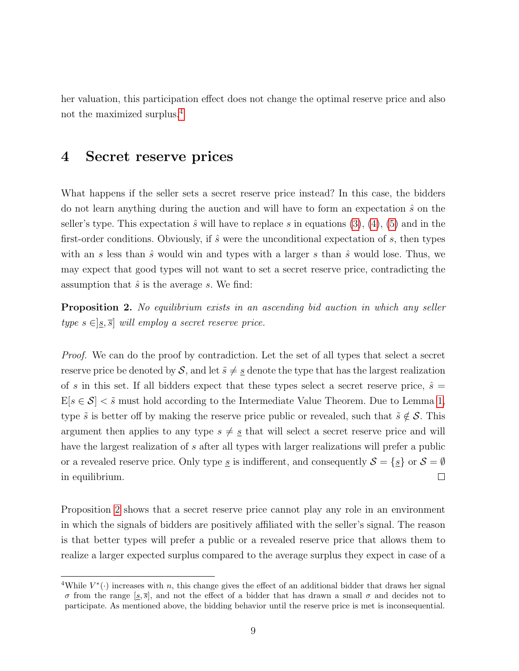her valuation, this participation effect does not change the optimal reserve price and also not the maximized surplus.[4](#page-1-0)

### <span id="page-9-0"></span>4 Secret reserve prices

What happens if the seller sets a secret reserve price instead? In this case, the bidders do not learn anything during the auction and will have to form an expectation  $\hat{s}$  on the seller's type. This expectation  $\hat{s}$  will have to replace s in equations [\(3\)](#page-7-1), [\(4\)](#page-7-2), [\(5\)](#page-8-0) and in the first-order conditions. Obviously, if  $\hat{s}$  were the unconditional expectation of s, then types with an s less than  $\hat{s}$  would win and types with a larger s than  $\hat{s}$  would lose. Thus, we may expect that good types will not want to set a secret reserve price, contradicting the assumption that  $\hat{s}$  is the average s. We find:

<span id="page-9-1"></span>**Proposition 2.** No equilibrium exists in an ascending bid auction in which any seller type  $s \in ]s, \overline{s}]$  will employ a secret reserve price.

Proof. We can do the proof by contradiction. Let the set of all types that select a secret reserve price be denoted by S, and let  $\tilde{s} \neq g$  denote the type that has the largest realization of s in this set. If all bidders expect that these types select a secret reserve price,  $\hat{s} =$  $E[s \in S] < \tilde{s}$  must hold according to the Intermediate Value Theorem. Due to Lemma [1,](#page-8-1) type  $\tilde{s}$  is better off by making the reserve price public or revealed, such that  $\tilde{s} \notin \mathcal{S}$ . This argument then applies to any type  $s \neq \underline{s}$  that will select a secret reserve price and will have the largest realization of s after all types with larger realizations will prefer a public or a revealed reserve price. Only type  $\underline{s}$  is indifferent, and consequently  $S = \{\underline{s}\}$  or  $S = \emptyset$  $\Box$ in equilibrium.

Proposition [2](#page-9-1) shows that a secret reserve price cannot play any role in an environment in which the signals of bidders are positively affiliated with the seller's signal. The reason is that better types will prefer a public or a revealed reserve price that allows them to realize a larger expected surplus compared to the average surplus they expect in case of a

<sup>&</sup>lt;sup>4</sup>While  $V^*(\cdot)$  increases with n, this change gives the effect of an additional bidder that draws her signal σ from the range  $[s,\bar{s}]$ , and not the effect of a bidder that has drawn a small σ and decides not to participate. As mentioned above, the bidding behavior until the reserve price is met is inconsequential.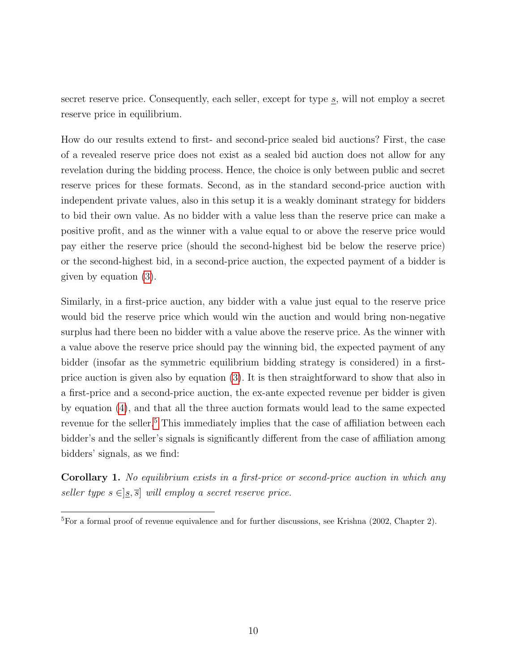secret reserve price. Consequently, each seller, except for type  $s$ , will not employ a secret reserve price in equilibrium.

How do our results extend to first- and second-price sealed bid auctions? First, the case of a revealed reserve price does not exist as a sealed bid auction does not allow for any revelation during the bidding process. Hence, the choice is only between public and secret reserve prices for these formats. Second, as in the standard second-price auction with independent private values, also in this setup it is a weakly dominant strategy for bidders to bid their own value. As no bidder with a value less than the reserve price can make a positive profit, and as the winner with a value equal to or above the reserve price would pay either the reserve price (should the second-highest bid be below the reserve price) or the second-highest bid, in a second-price auction, the expected payment of a bidder is given by equation [\(3\)](#page-7-1).

Similarly, in a first-price auction, any bidder with a value just equal to the reserve price would bid the reserve price which would win the auction and would bring non-negative surplus had there been no bidder with a value above the reserve price. As the winner with a value above the reserve price should pay the winning bid, the expected payment of any bidder (insofar as the symmetric equilibrium bidding strategy is considered) in a firstprice auction is given also by equation [\(3\)](#page-7-1). It is then straightforward to show that also in a first-price and a second-price auction, the ex-ante expected revenue per bidder is given by equation [\(4\)](#page-7-2), and that all the three auction formats would lead to the same expected revenue for the seller.<sup>[5](#page-1-0)</sup> This immediately implies that the case of affiliation between each bidder's and the seller's signals is significantly different from the case of affiliation among bidders' signals, as we find:

Corollary 1. No equilibrium exists in a first-price or second-price auction in which any seller type  $s \in ]s, \overline{s}]$  will employ a secret reserve price.

<sup>5</sup>For a formal proof of revenue equivalence and for further discussions, see Krishna (2002, Chapter 2).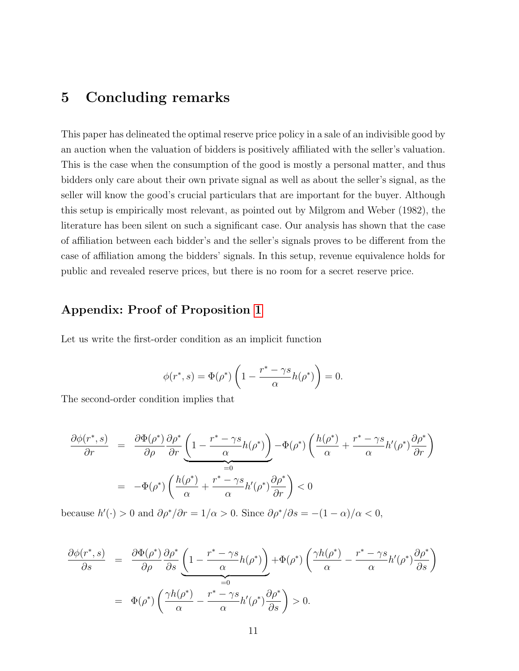### <span id="page-11-0"></span>5 Concluding remarks

This paper has delineated the optimal reserve price policy in a sale of an indivisible good by an auction when the valuation of bidders is positively affiliated with the seller's valuation. This is the case when the consumption of the good is mostly a personal matter, and thus bidders only care about their own private signal as well as about the seller's signal, as the seller will know the good's crucial particulars that are important for the buyer. Although this setup is empirically most relevant, as pointed out by Milgrom and Weber (1982), the literature has been silent on such a significant case. Our analysis has shown that the case of affiliation between each bidder's and the seller's signals proves to be different from the case of affiliation among the bidders' signals. In this setup, revenue equivalence holds for public and revealed reserve prices, but there is no room for a secret reserve price.

#### Appendix: Proof of Proposition [1](#page-8-2)

Let us write the first-order condition as an implicit function

$$
\phi(r^*,s) = \Phi(\rho^*) \left( 1 - \frac{r^* - \gamma s}{\alpha} h(\rho^*) \right) = 0.
$$

The second-order condition implies that

$$
\frac{\partial \phi(r^*, s)}{\partial r} = \frac{\partial \Phi(\rho^*)}{\partial \rho} \frac{\partial \rho^*}{\partial r} \underbrace{\left(1 - \frac{r^* - \gamma s}{\alpha} h(\rho^*)\right)}_{=0} - \Phi(\rho^*) \left(\frac{h(\rho^*)}{\alpha} + \frac{r^* - \gamma s}{\alpha} h'(\rho^*) \frac{\partial \rho^*}{\partial r}\right)
$$
\n
$$
= -\Phi(\rho^*) \left(\frac{h(\rho^*)}{\alpha} + \frac{r^* - \gamma s}{\alpha} h'(\rho^*) \frac{\partial \rho^*}{\partial r}\right) < 0
$$

because  $h'(\cdot) > 0$  and  $\partial \rho^* / \partial r = 1/\alpha > 0$ . Since  $\partial \rho^* / \partial s = -(1 - \alpha) / \alpha < 0$ ,

$$
\frac{\partial \phi(r^*, s)}{\partial s} = \frac{\partial \Phi(\rho^*)}{\partial \rho} \frac{\partial \rho^*}{\partial s} \underbrace{\left(1 - \frac{r^* - \gamma s}{\alpha} h(\rho^*)\right)}_{=0} + \Phi(\rho^*) \left(\frac{\gamma h(\rho^*)}{\alpha} - \frac{r^* - \gamma s}{\alpha} h'(\rho^*) \frac{\partial \rho^*}{\partial s}\right)
$$

$$
= \Phi(\rho^*) \left(\frac{\gamma h(\rho^*)}{\alpha} - \frac{r^* - \gamma s}{\alpha} h'(\rho^*) \frac{\partial \rho^*}{\partial s}\right) > 0.
$$